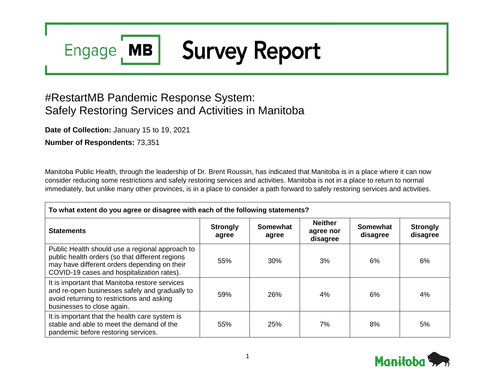#### **Survey Report Engage MB**

# #RestartMB Pandemic Response System: Safely Restoring Services and Activities in Manitoba

**Date of Collection:** January 15 to 19, 2021

**Number of Respondents:** 73,351

Manitoba Public Health, through the leadership of Dr. Brent Roussin, has indicated that Manitoba is in a place where it can now consider reducing some restrictions and safely restoring services and activities. Manitoba is not in a place to return to normal immediately, but unlike many other provinces, is in a place to consider a path forward to safely restoring services and activities.

| To what extent do you agree or disagree with each of the following statements?                                                                                                                   |                          |                          |                                         |                             |                             |  |
|--------------------------------------------------------------------------------------------------------------------------------------------------------------------------------------------------|--------------------------|--------------------------|-----------------------------------------|-----------------------------|-----------------------------|--|
| <b>Statements</b>                                                                                                                                                                                | <b>Strongly</b><br>agree | <b>Somewhat</b><br>agree | <b>Neither</b><br>agree nor<br>disagree | <b>Somewhat</b><br>disagree | <b>Strongly</b><br>disagree |  |
| Public Health should use a regional approach to<br>public health orders (so that different regions<br>may have different orders depending on their<br>COVID-19 cases and hospitalization rates). | 55%                      | 30%                      | 3%                                      | 6%                          | 6%                          |  |
| It is important that Manitoba restore services<br>and re-open businesses safely and gradually to<br>avoid returning to restrictions and asking<br>businesses to close again.                     | 59%                      | 26%                      | $4\%$                                   | 6%                          | 4%                          |  |
| It is important that the health care system is<br>stable and able to meet the demand of the<br>pandemic before restoring services.                                                               | 55%                      | 25%                      | 7%                                      | 8%                          | 5%                          |  |

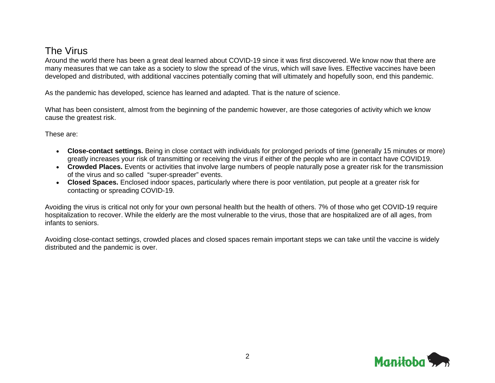## The Virus

Around the world there has been a great deal learned about COVID-19 since it was first discovered. We know now that there are many measures that we can take as a society to slow the spread of the virus, which will save lives. Effective vaccines have been developed and distributed, with additional vaccines potentially coming that will ultimately and hopefully soon, end this pandemic.

As the pandemic has developed, science has learned and adapted. That is the nature of science.

What has been consistent, almost from the beginning of the pandemic however, are those categories of activity which we know cause the greatest risk.

These are:

- **Close-contact settings.** Being in close contact with individuals for prolonged periods of time (generally 15 minutes or more) greatly increases your risk of transmitting or receiving the virus if either of the people who are in contact have COVID19.
- **Crowded Places.** Events or activities that involve large numbers of people naturally pose a greater risk for the transmission of the virus and so called "super-spreader" events.
- **Closed Spaces.** Enclosed indoor spaces, particularly where there is poor ventilation, put people at a greater risk for contacting or spreading COVID-19.

Avoiding the virus is critical not only for your own personal health but the health of others. 7% of those who get COVID-19 require hospitalization to recover. While the elderly are the most vulnerable to the virus, those that are hospitalized are of all ages, from infants to seniors.

Avoiding close-contact settings, crowded places and closed spaces remain important steps we can take until the vaccine is widely distributed and the pandemic is over.

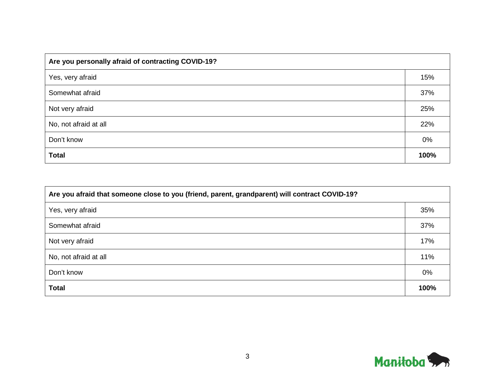| Are you personally afraid of contracting COVID-19? |      |  |  |  |  |
|----------------------------------------------------|------|--|--|--|--|
| Yes, very afraid                                   | 15%  |  |  |  |  |
| Somewhat afraid                                    | 37%  |  |  |  |  |
| Not very afraid                                    | 25%  |  |  |  |  |
| No, not afraid at all                              | 22%  |  |  |  |  |
| Don't know                                         | 0%   |  |  |  |  |
| <b>Total</b>                                       | 100% |  |  |  |  |

| Are you afraid that someone close to you (friend, parent, grandparent) will contract COVID-19? |      |  |  |  |  |
|------------------------------------------------------------------------------------------------|------|--|--|--|--|
| Yes, very afraid                                                                               | 35%  |  |  |  |  |
| Somewhat afraid                                                                                | 37%  |  |  |  |  |
| Not very afraid                                                                                | 17%  |  |  |  |  |
| No, not afraid at all                                                                          | 11%  |  |  |  |  |
| Don't know                                                                                     | 0%   |  |  |  |  |
| <b>Total</b>                                                                                   | 100% |  |  |  |  |

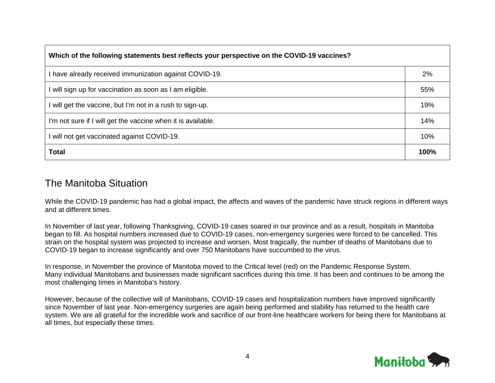| Which of the following statements best reflects your perspective on the COVID-19 vaccines? |      |  |  |  |  |
|--------------------------------------------------------------------------------------------|------|--|--|--|--|
| I have already received immunization against COVID-19.                                     | 2%   |  |  |  |  |
| I will sign up for vaccination as soon as I am eligible.                                   | 55%  |  |  |  |  |
| I will get the vaccine, but I'm not in a rush to sign-up.                                  | 19%  |  |  |  |  |
| I'm not sure if I will get the vaccine when it is available.                               | 14%  |  |  |  |  |
| I will not get vaccinated against COVID-19.                                                | 10%  |  |  |  |  |
| <b>Total</b>                                                                               | 100% |  |  |  |  |

#### The Manitoba Situation

While the COVID-19 pandemic has had a global impact, the affects and waves of the pandemic have struck regions in different ways and at different times.

In November of last year, following Thanksgiving, COVID-19 cases soared in our province and as a result, hospitals in Manitoba began to fill. As hospital numbers increased due to COVID-19 cases, non-emergency surgeries were forced to be cancelled. This strain on the hospital system was projected to increase and worsen. Most tragically, the number of deaths of Manitobans due to COVID-19 began to increase significantly and over 750 Manitobans have succumbed to the virus.

In response, in November the province of Manitoba moved to the Critical level (red) on the Pandemic Response System. Many individual Manitobans and businesses made significant sacrifices during this time. It has been and continues to be among the most challenging times in Manitoba's history.

However, because of the collective will of Manitobans, COVID-19 cases and hospitalization numbers have improved significantly since November of last year. Non-emergency surgeries are again being performed and stability has returned to the health care system. We are all grateful for the incredible work and sacrifice of our front-line healthcare workers for being there for Manitobans at all times, but especially these times.

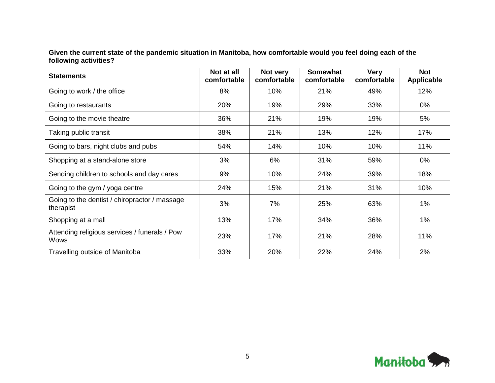| Given the current state of the pandemic situation in Manitoba, now comfortable would you leef doing each of the<br>following activities? |                           |                         |                                |                            |                                 |  |
|------------------------------------------------------------------------------------------------------------------------------------------|---------------------------|-------------------------|--------------------------------|----------------------------|---------------------------------|--|
| <b>Statements</b>                                                                                                                        | Not at all<br>comfortable | Not very<br>comfortable | <b>Somewhat</b><br>comfortable | <b>Very</b><br>comfortable | <b>Not</b><br><b>Applicable</b> |  |
| Going to work / the office                                                                                                               | 8%                        | 10%                     | 21%                            | 49%                        | 12%                             |  |
| Going to restaurants                                                                                                                     | 20%                       | 19%                     | 29%                            | 33%                        | 0%                              |  |
| Going to the movie theatre                                                                                                               | 36%                       | 21%                     | 19%                            | 19%                        | 5%                              |  |
| Taking public transit                                                                                                                    | 38%                       | 21%                     | 13%                            | 12%                        | 17%                             |  |
| Going to bars, night clubs and pubs                                                                                                      | 54%                       | 14%                     | 10%                            | 10%                        | 11%                             |  |
| Shopping at a stand-alone store                                                                                                          | 3%                        | 6%                      | 31%                            | 59%                        | 0%                              |  |
| Sending children to schools and day cares                                                                                                | 9%                        | 10%                     | 24%                            | 39%                        | 18%                             |  |
| Going to the gym / yoga centre                                                                                                           | 24%                       | 15%                     | 21%                            | 31%                        | 10%                             |  |
| Going to the dentist / chiropractor / massage<br>therapist                                                                               | 3%                        | 7%                      | 25%                            | 63%                        | 1%                              |  |
| Shopping at a mall                                                                                                                       | 13%                       | 17%                     | 34%                            | 36%                        | 1%                              |  |
| Attending religious services / funerals / Pow<br>Wows                                                                                    | 23%                       | 17%                     | 21%                            | 28%                        | 11%                             |  |
| Travelling outside of Manitoba                                                                                                           | 33%                       | 20%                     | 22%                            | 24%                        | 2%                              |  |

**Given the current state of the pandemic situation in Manitoba, how comfortable would you feel doing each of the** 

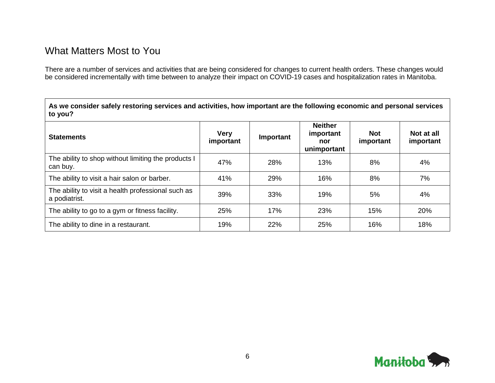### What Matters Most to You

There are a number of services and activities that are being considered for changes to current health orders. These changes would be considered incrementally with time between to analyze their impact on COVID-19 cases and hospitalization rates in Manitoba.

**As we consider safely restoring services and activities, how important are the following economic and personal services to you?**

| <b>Statements</b>                                                   | <b>Very</b><br>important | Important | <b>Neither</b><br>important<br>nor<br>unimportant | <b>Not</b><br>important | Not at all<br>important |
|---------------------------------------------------------------------|--------------------------|-----------|---------------------------------------------------|-------------------------|-------------------------|
| The ability to shop without limiting the products I<br>can buy.     | 47%                      | 28%       | 13%                                               | 8%                      | 4%                      |
| The ability to visit a hair salon or barber.                        | 41%                      | 29%       | 16%                                               | 8%                      | 7%                      |
| The ability to visit a health professional such as<br>a podiatrist. | 39%                      | 33%       | 19%                                               | 5%                      | 4%                      |
| The ability to go to a gym or fitness facility.                     | 25%                      | 17%       | 23%                                               | 15%                     | 20%                     |
| The ability to dine in a restaurant.                                | 19%                      | 22%       | 25%                                               | 16%                     | 18%                     |

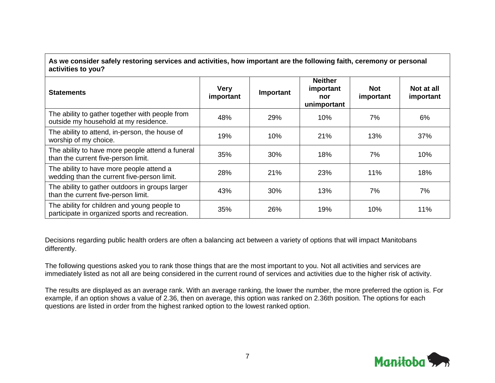**As we consider safely restoring services and activities, how important are the following faith, ceremony or personal activities to you?**

| <b>Statements</b>                                                                               | <b>Very</b><br>important | Important | <b>Neither</b><br>important<br>nor<br>unimportant | <b>Not</b><br>important | Not at all<br>important |
|-------------------------------------------------------------------------------------------------|--------------------------|-----------|---------------------------------------------------|-------------------------|-------------------------|
| The ability to gather together with people from<br>outside my household at my residence.        | 48%                      | 29%       | 10%                                               | 7%                      | 6%                      |
| The ability to attend, in-person, the house of<br>worship of my choice.                         | 19%                      | 10%       | 21%                                               | 13%                     | 37%                     |
| The ability to have more people attend a funeral<br>than the current five-person limit.         | 35%                      | 30%       | 18%                                               | 7%                      | 10%                     |
| The ability to have more people attend a<br>wedding than the current five-person limit.         | 28%                      | 21%       | 23%                                               | 11%                     | 18%                     |
| The ability to gather outdoors in groups larger<br>than the current five-person limit.          | 43%                      | 30%       | 13%                                               | 7%                      | 7%                      |
| The ability for children and young people to<br>participate in organized sports and recreation. | 35%                      | 26%       | 19%                                               | 10%                     | 11%                     |

Decisions regarding public health orders are often a balancing act between a variety of options that will impact Manitobans differently.

The following questions asked you to rank those things that are the most important to you. Not all activities and services are immediately listed as not all are being considered in the current round of services and activities due to the higher risk of activity.

The results are displayed as an average rank. With an average ranking, the lower the number, the more preferred the option is. For example, if an option shows a value of 2.36, then on average, this option was ranked on 2.36th position. The options for each questions are listed in order from the highest ranked option to the lowest ranked option.

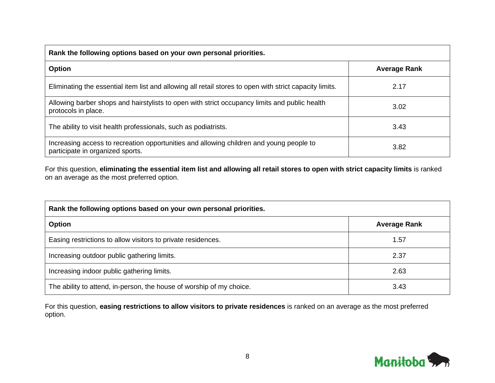| Rank the following options based on your own personal priorities.                                                           |                     |  |  |  |  |  |
|-----------------------------------------------------------------------------------------------------------------------------|---------------------|--|--|--|--|--|
| Option                                                                                                                      | <b>Average Rank</b> |  |  |  |  |  |
| Eliminating the essential item list and allowing all retail stores to open with strict capacity limits.                     | 2.17                |  |  |  |  |  |
| Allowing barber shops and hairstylists to open with strict occupancy limits and public health<br>protocols in place.        | 3.02                |  |  |  |  |  |
| The ability to visit health professionals, such as podiatrists.                                                             | 3.43                |  |  |  |  |  |
| Increasing access to recreation opportunities and allowing children and young people to<br>participate in organized sports. | 3.82                |  |  |  |  |  |

For this question, **eliminating the essential item list and allowing all retail stores to open with strict capacity limits** is ranked on an average as the most preferred option.

| Rank the following options based on your own personal priorities.    |                     |  |  |  |  |
|----------------------------------------------------------------------|---------------------|--|--|--|--|
| <b>Option</b>                                                        | <b>Average Rank</b> |  |  |  |  |
| Easing restrictions to allow visitors to private residences.         | 1.57                |  |  |  |  |
| Increasing outdoor public gathering limits.                          | 2.37                |  |  |  |  |
| Increasing indoor public gathering limits.                           | 2.63                |  |  |  |  |
| The ability to attend, in-person, the house of worship of my choice. | 3.43                |  |  |  |  |

For this question, **easing restrictions to allow visitors to private residences** is ranked on an average as the most preferred option.

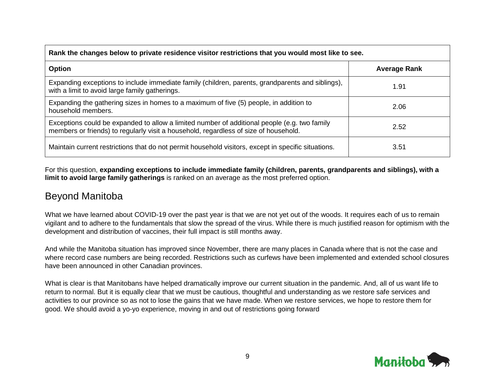| Rank the changes below to private residence visitor restrictions that you would most like to see.                                                                                    |                     |  |  |  |  |
|--------------------------------------------------------------------------------------------------------------------------------------------------------------------------------------|---------------------|--|--|--|--|
| <b>Option</b>                                                                                                                                                                        | <b>Average Rank</b> |  |  |  |  |
| Expanding exceptions to include immediate family (children, parents, grandparents and siblings),<br>with a limit to avoid large family gatherings.                                   | 1.91                |  |  |  |  |
| Expanding the gathering sizes in homes to a maximum of five (5) people, in addition to<br>household members.                                                                         | 2.06                |  |  |  |  |
| Exceptions could be expanded to allow a limited number of additional people (e.g. two family<br>members or friends) to regularly visit a household, regardless of size of household. | 2.52                |  |  |  |  |
| Maintain current restrictions that do not permit household visitors, except in specific situations.                                                                                  | 3.51                |  |  |  |  |

For this question, **expanding exceptions to include immediate family (children, parents, grandparents and siblings), with a limit to avoid large family gatherings** is ranked on an average as the most preferred option.

#### Beyond Manitoba

What we have learned about COVID-19 over the past year is that we are not yet out of the woods. It requires each of us to remain vigilant and to adhere to the fundamentals that slow the spread of the virus. While there is much justified reason for optimism with the development and distribution of vaccines, their full impact is still months away.

And while the Manitoba situation has improved since November, there are many places in Canada where that is not the case and where record case numbers are being recorded. Restrictions such as curfews have been implemented and extended school closures have been announced in other Canadian provinces.

What is clear is that Manitobans have helped dramatically improve our current situation in the pandemic. And, all of us want life to return to normal. But it is equally clear that we must be cautious, thoughtful and understanding as we restore safe services and activities to our province so as not to lose the gains that we have made. When we restore services, we hope to restore them for good. We should avoid a yo-yo experience, moving in and out of restrictions going forward

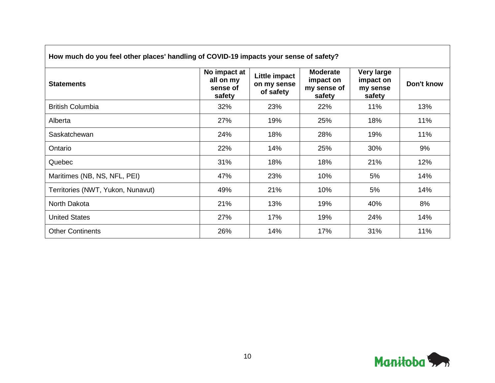| How much do you feel other places' handling of COVID-19 impacts your sense of safety? |                                                 |                                           |                                                       |                                               |            |  |  |
|---------------------------------------------------------------------------------------|-------------------------------------------------|-------------------------------------------|-------------------------------------------------------|-----------------------------------------------|------------|--|--|
| <b>Statements</b>                                                                     | No impact at<br>all on my<br>sense of<br>safety | Little impact<br>on my sense<br>of safety | <b>Moderate</b><br>impact on<br>my sense of<br>safety | Very large<br>impact on<br>my sense<br>safety | Don't know |  |  |
| <b>British Columbia</b>                                                               | 32%                                             | 23%                                       | 22%                                                   | 11%                                           | 13%        |  |  |
| Alberta                                                                               | 27%                                             | 19%                                       | 25%                                                   | 18%                                           | 11%        |  |  |
| Saskatchewan                                                                          | 24%                                             | 18%                                       | 28%                                                   | 19%                                           | 11%        |  |  |
| Ontario                                                                               | 22%                                             | 14%                                       | 25%                                                   | 30%                                           | 9%         |  |  |
| Quebec                                                                                | 31%                                             | 18%                                       | 18%                                                   | 21%                                           | 12%        |  |  |
| Maritimes (NB, NS, NFL, PEI)                                                          | 47%                                             | 23%                                       | 10%                                                   | 5%                                            | 14%        |  |  |
| Territories (NWT, Yukon, Nunavut)                                                     | 49%                                             | 21%                                       | 10%                                                   | 5%                                            | 14%        |  |  |
| North Dakota                                                                          | 21%                                             | 13%                                       | 19%                                                   | 40%                                           | 8%         |  |  |
| <b>United States</b>                                                                  | 27%                                             | 17%                                       | 19%                                                   | 24%                                           | 14%        |  |  |
| <b>Other Continents</b>                                                               | 26%                                             | 14%                                       | 17%                                                   | 31%                                           | 11%        |  |  |